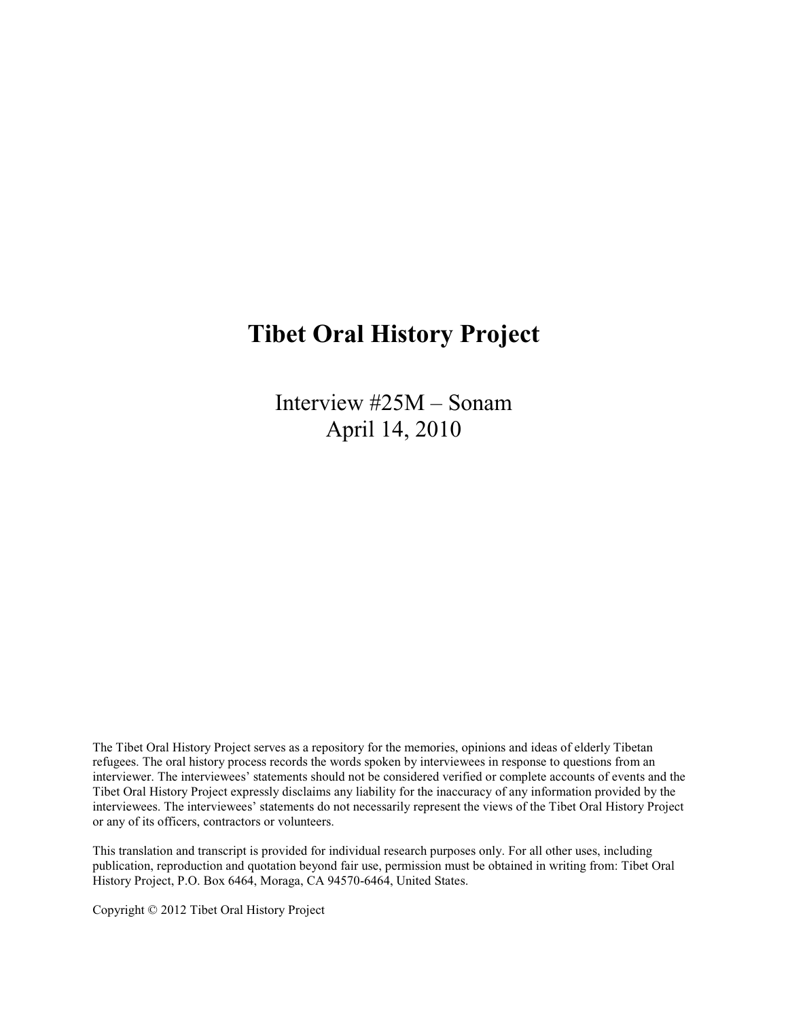# **Tibet Oral History Project**

Interview #25M – Sonam April 14, 2010

The Tibet Oral History Project serves as a repository for the memories, opinions and ideas of elderly Tibetan refugees. The oral history process records the words spoken by interviewees in response to questions from an interviewer. The interviewees' statements should not be considered verified or complete accounts of events and the Tibet Oral History Project expressly disclaims any liability for the inaccuracy of any information provided by the interviewees. The interviewees' statements do not necessarily represent the views of the Tibet Oral History Project or any of its officers, contractors or volunteers.

This translation and transcript is provided for individual research purposes only. For all other uses, including publication, reproduction and quotation beyond fair use, permission must be obtained in writing from: Tibet Oral History Project, P.O. Box 6464, Moraga, CA 94570-6464, United States.

Copyright © 2012 Tibet Oral History Project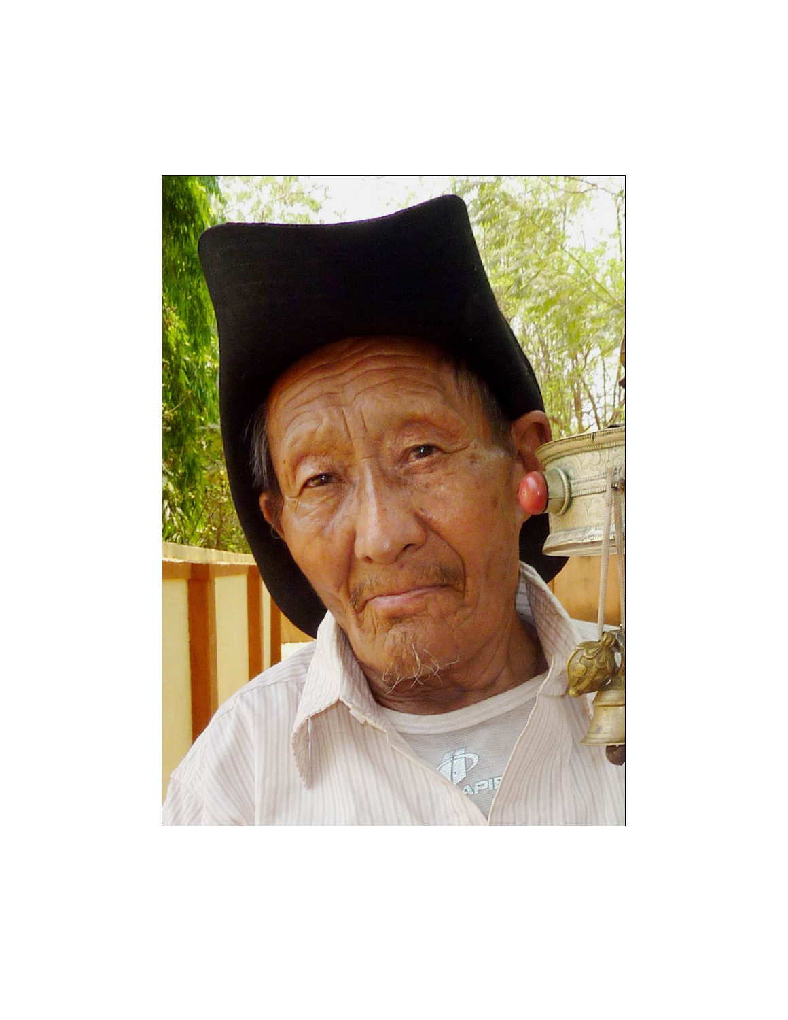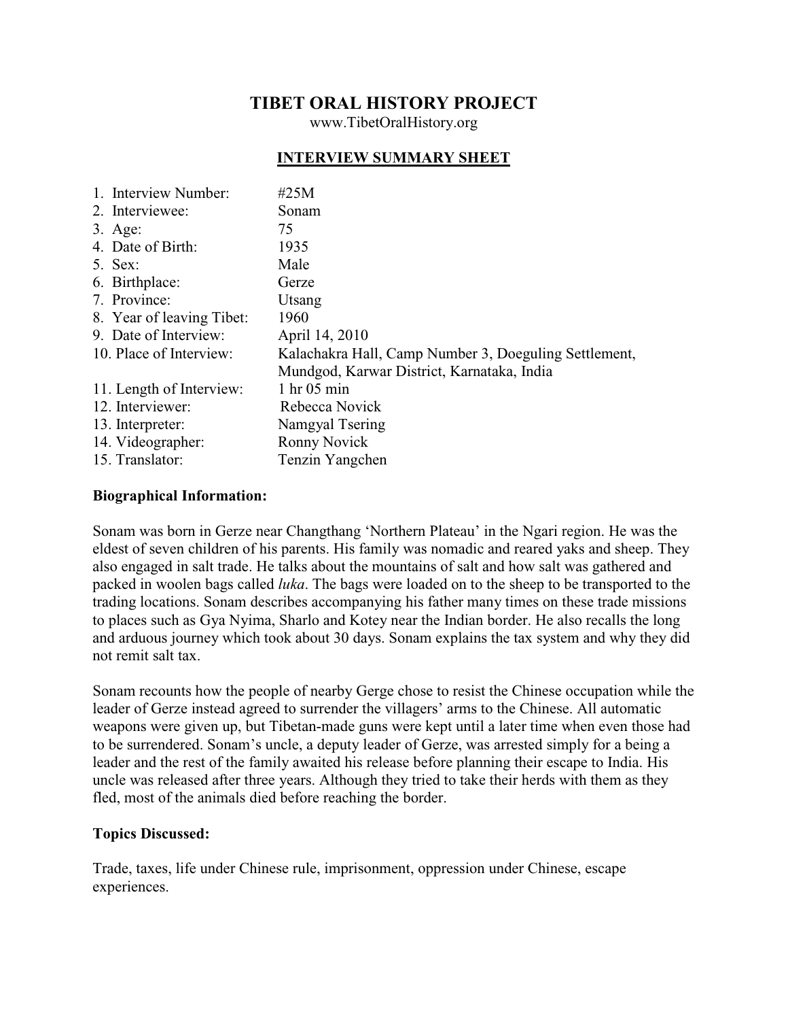# **TIBET ORAL HISTORY PROJECT**

www.TibetOralHistory.org

### **INTERVIEW SUMMARY SHEET**

| 1. Interview Number:      | #25M                                                  |
|---------------------------|-------------------------------------------------------|
| 2. Interviewee:           | Sonam                                                 |
| $3. \text{Age}$           | 75                                                    |
| 4. Date of Birth:         | 1935                                                  |
| 5. Sex:                   | Male                                                  |
| 6. Birthplace:            | Gerze                                                 |
| 7. Province:              | Utsang                                                |
| 8. Year of leaving Tibet: | 1960                                                  |
| 9. Date of Interview:     | April 14, 2010                                        |
| 10. Place of Interview:   | Kalachakra Hall, Camp Number 3, Doeguling Settlement, |
|                           | Mundgod, Karwar District, Karnataka, India            |
| 11. Length of Interview:  | $1 \text{ hr} 05 \text{ min}$                         |
| 12. Interviewer:          | Rebecca Novick                                        |
| 13. Interpreter:          | Namgyal Tsering                                       |
| 14. Videographer:         | Ronny Novick                                          |
| 15. Translator:           | Tenzin Yangchen                                       |

#### **Biographical Information:**

Sonam was born in Gerze near Changthang 'Northern Plateau' in the Ngari region. He was the eldest of seven children of his parents. His family was nomadic and reared yaks and sheep. They also engaged in salt trade. He talks about the mountains of salt and how salt was gathered and packed in woolen bags called *luka*. The bags were loaded on to the sheep to be transported to the trading locations. Sonam describes accompanying his father many times on these trade missions to places such as Gya Nyima, Sharlo and Kotey near the Indian border. He also recalls the long and arduous journey which took about 30 days. Sonam explains the tax system and why they did not remit salt tax.

Sonam recounts how the people of nearby Gerge chose to resist the Chinese occupation while the leader of Gerze instead agreed to surrender the villagers' arms to the Chinese. All automatic weapons were given up, but Tibetan-made guns were kept until a later time when even those had to be surrendered. Sonam's uncle, a deputy leader of Gerze, was arrested simply for a being a leader and the rest of the family awaited his release before planning their escape to India. His uncle was released after three years. Although they tried to take their herds with them as they fled, most of the animals died before reaching the border.

#### **Topics Discussed:**

Trade, taxes, life under Chinese rule, imprisonment, oppression under Chinese, escape experiences.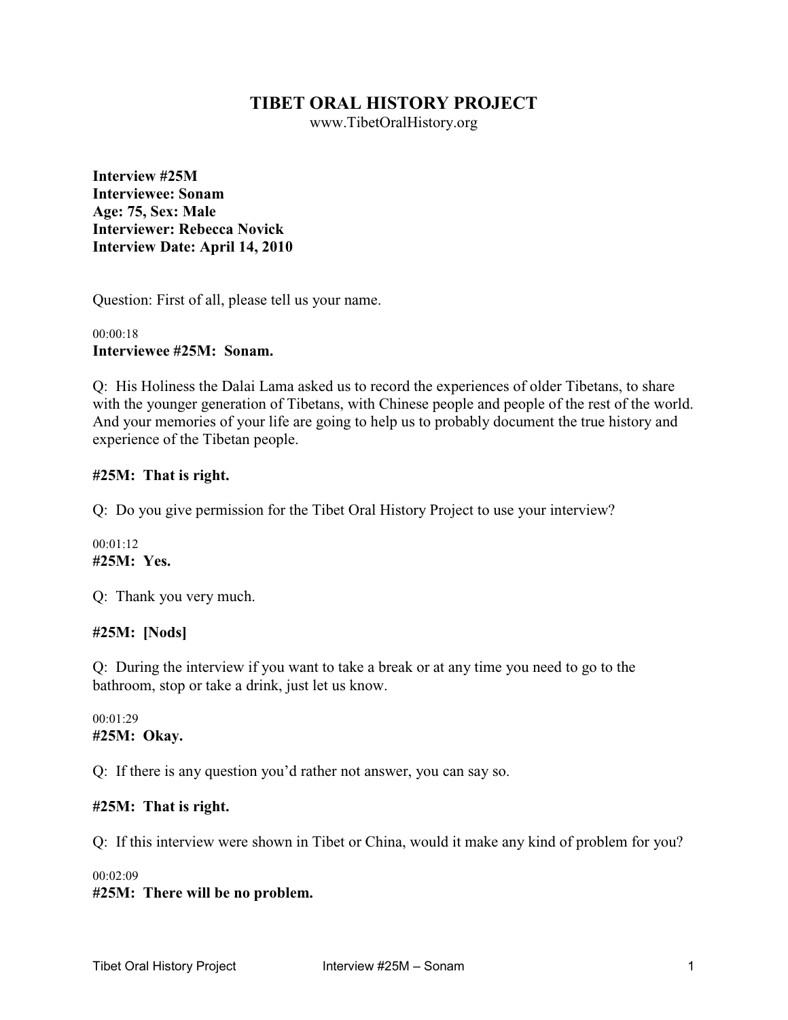# **TIBET ORAL HISTORY PROJECT**

www.TibetOralHistory.org

**Interview #25M Interviewee: Sonam Age: 75, Sex: Male Interviewer: Rebecca Novick Interview Date: April 14, 2010** 

Question: First of all, please tell us your name.

00:00:18 **Interviewee #25M: Sonam.**

Q: His Holiness the Dalai Lama asked us to record the experiences of older Tibetans, to share with the younger generation of Tibetans, with Chinese people and people of the rest of the world. And your memories of your life are going to help us to probably document the true history and experience of the Tibetan people.

#### **#25M: That is right.**

Q: Do you give permission for the Tibet Oral History Project to use your interview?

00:01:12 **#25M: Yes.**

Q: Thank you very much.

### **#25M: [Nods]**

Q: During the interview if you want to take a break or at any time you need to go to the bathroom, stop or take a drink, just let us know.

00:01:29 **#25M: Okay.**

Q: If there is any question you'd rather not answer, you can say so.

#### **#25M: That is right.**

Q: If this interview were shown in Tibet or China, would it make any kind of problem for you?

00:02:09 **#25M: There will be no problem.**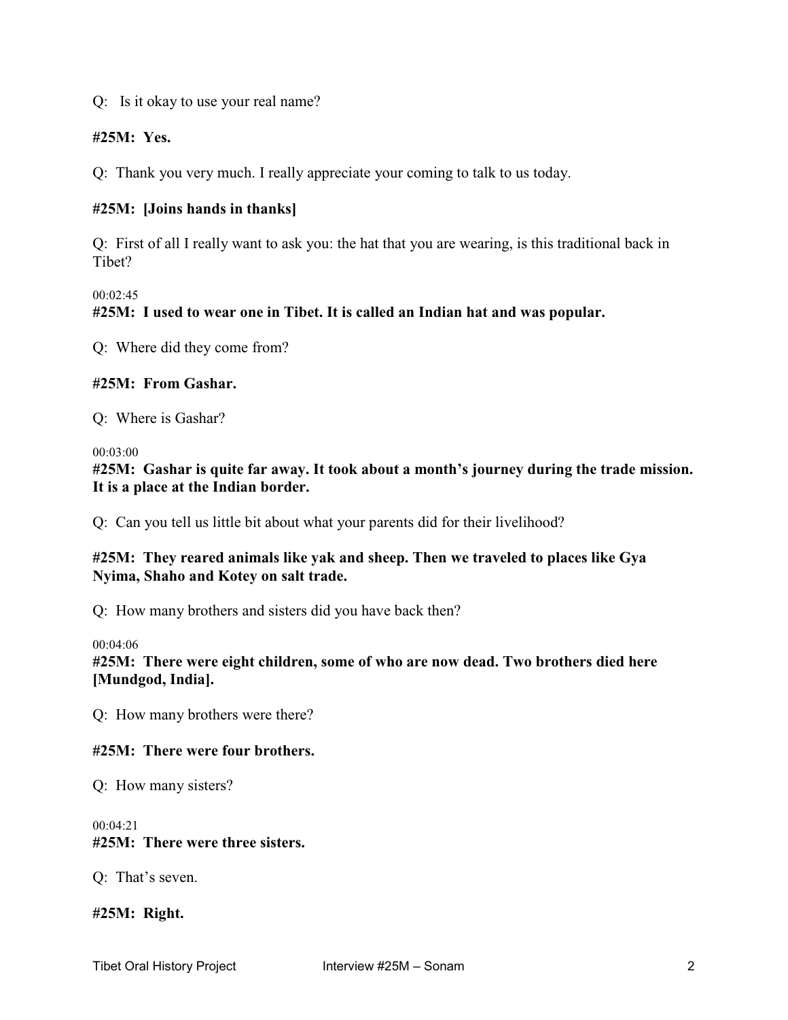Q: Is it okay to use your real name?

### **#25M: Yes.**

Q: Thank you very much. I really appreciate your coming to talk to us today.

### **#25M: [Joins hands in thanks]**

Q: First of all I really want to ask you: the hat that you are wearing, is this traditional back in Tibet?

#### $00.02.45$

### **#25M: I used to wear one in Tibet. It is called an Indian hat and was popular.**

Q: Where did they come from?

#### **#25M: From Gashar.**

Q: Where is Gashar?

#### 00:03:00

**#25M: Gashar is quite far away. It took about a month's journey during the trade mission. It is a place at the Indian border.**

Q: Can you tell us little bit about what your parents did for their livelihood?

### **#25M: They reared animals like yak and sheep. Then we traveled to places like Gya Nyima, Shaho and Kotey on salt trade.**

Q: How many brothers and sisters did you have back then?

00:04:06

**#25M: There were eight children, some of who are now dead. Two brothers died here [Mundgod, India].**

Q: How many brothers were there?

### **#25M: There were four brothers.**

Q: How many sisters?

### 00:04:21 **#25M: There were three sisters.**

Q: That's seven.

# **#25M: Right.**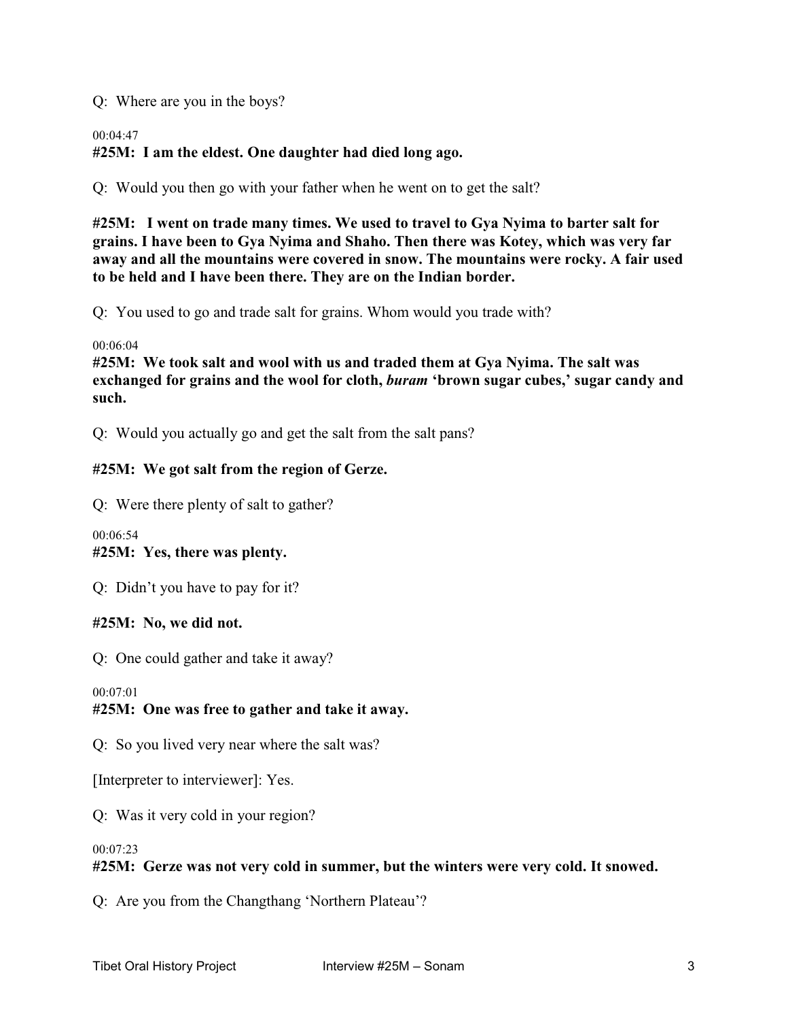### Q: Where are you in the boys?

#### 00:04:47

# **#25M: I am the eldest. One daughter had died long ago.**

Q: Would you then go with your father when he went on to get the salt?

### **#25M: I went on trade many times. We used to travel to Gya Nyima to barter salt for grains. I have been to Gya Nyima and Shaho. Then there was Kotey, which was very far away and all the mountains were covered in snow. The mountains were rocky. A fair used to be held and I have been there. They are on the Indian border.**

Q: You used to go and trade salt for grains. Whom would you trade with?

00:06:04

**#25M: We took salt and wool with us and traded them at Gya Nyima. The salt was exchanged for grains and the wool for cloth,** *buram* **'brown sugar cubes,' sugar candy and such.** 

Q: Would you actually go and get the salt from the salt pans?

### **#25M: We got salt from the region of Gerze.**

Q: Were there plenty of salt to gather?

00:06:54 **#25M: Yes, there was plenty.**

Q: Didn't you have to pay for it?

### **#25M: No, we did not.**

Q: One could gather and take it away?

00:07:01

# **#25M: One was free to gather and take it away.**

Q: So you lived very near where the salt was?

[Interpreter to interviewer]: Yes.

Q: Was it very cold in your region?

### 00:07:23

# **#25M: Gerze was not very cold in summer, but the winters were very cold. It snowed.**

Q: Are you from the Changthang 'Northern Plateau'?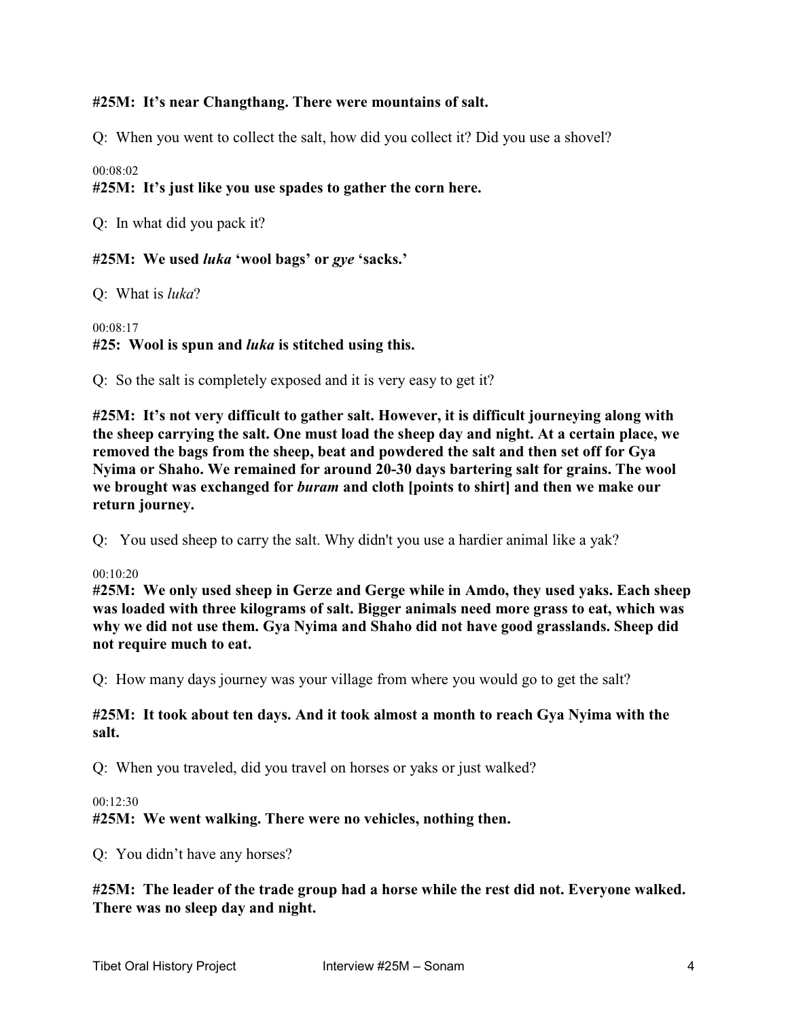### **#25M: It's near Changthang. There were mountains of salt.**

Q: When you went to collect the salt, how did you collect it? Did you use a shovel?

### 00:08:02

# **#25M: It's just like you use spades to gather the corn here.**

Q: In what did you pack it?

### **#25M: We used** *luka* **'wool bags' or** *gye* **'sacks.'**

Q: What is *luka*?

00:08:17 **#25: Wool is spun and** *luka* **is stitched using this.** 

Q: So the salt is completely exposed and it is very easy to get it?

**#25M: It's not very difficult to gather salt. However, it is difficult journeying along with the sheep carrying the salt. One must load the sheep day and night. At a certain place, we removed the bags from the sheep, beat and powdered the salt and then set off for Gya Nyima or Shaho. We remained for around 20-30 days bartering salt for grains. The wool we brought was exchanged for** *buram* **and cloth [points to shirt] and then we make our return journey.**

Q: You used sheep to carry the salt. Why didn't you use a hardier animal like a yak?

#### 00:10:20

**#25M: We only used sheep in Gerze and Gerge while in Amdo, they used yaks. Each sheep was loaded with three kilograms of salt. Bigger animals need more grass to eat, which was why we did not use them. Gya Nyima and Shaho did not have good grasslands. Sheep did not require much to eat.**

Q: How many days journey was your village from where you would go to get the salt?

### **#25M: It took about ten days. And it took almost a month to reach Gya Nyima with the salt.**

Q: When you traveled, did you travel on horses or yaks or just walked?

00:12:30

### **#25M: We went walking. There were no vehicles, nothing then.**

Q: You didn't have any horses?

**#25M: The leader of the trade group had a horse while the rest did not. Everyone walked. There was no sleep day and night.**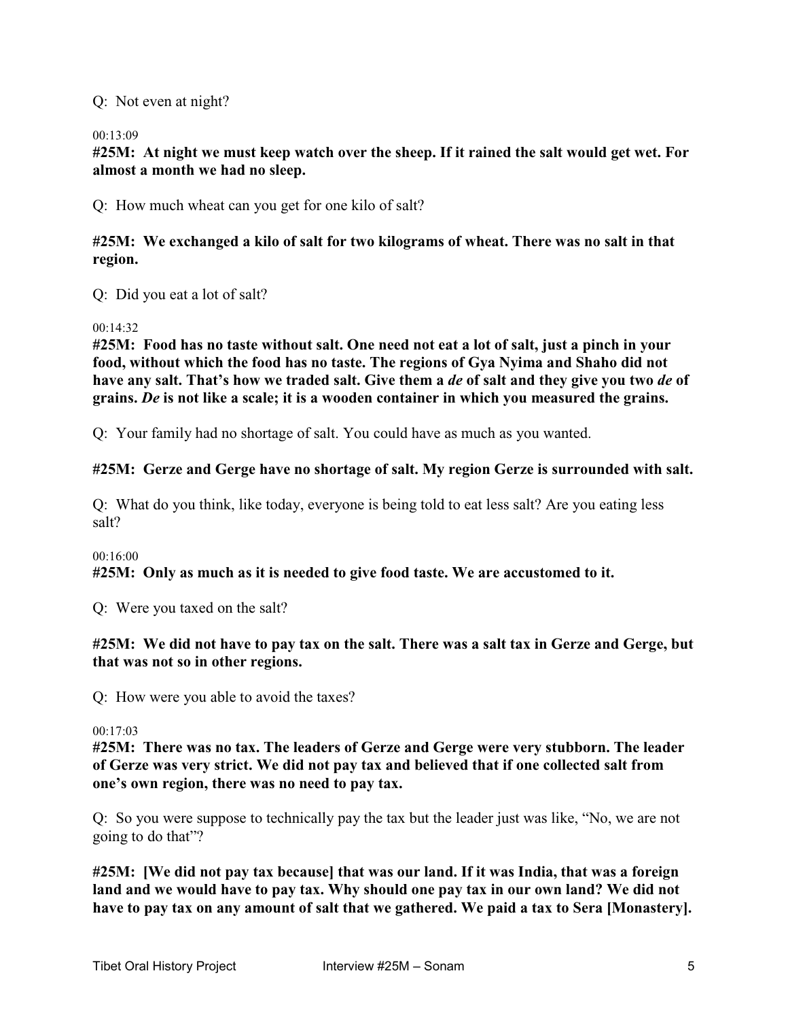### Q: Not even at night?

#### 00:13:09

### **#25M: At night we must keep watch over the sheep. If it rained the salt would get wet. For almost a month we had no sleep.**

Q: How much wheat can you get for one kilo of salt?

### **#25M: We exchanged a kilo of salt for two kilograms of wheat. There was no salt in that region.**

Q: Did you eat a lot of salt?

00:14:32

**#25M: Food has no taste without salt. One need not eat a lot of salt, just a pinch in your food, without which the food has no taste. The regions of Gya Nyima and Shaho did not have any salt. That's how we traded salt. Give them a** *de* **of salt and they give you two** *de* **of grains.** *De* **is not like a scale; it is a wooden container in which you measured the grains.** 

Q: Your family had no shortage of salt. You could have as much as you wanted.

### **#25M: Gerze and Gerge have no shortage of salt. My region Gerze is surrounded with salt.**

Q: What do you think, like today, everyone is being told to eat less salt? Are you eating less salt?

00:16:00

### **#25M: Only as much as it is needed to give food taste. We are accustomed to it.**

Q: Were you taxed on the salt?

### **#25M: We did not have to pay tax on the salt. There was a salt tax in Gerze and Gerge, but that was not so in other regions.**

Q: How were you able to avoid the taxes?

#### 00:17:03

**#25M: There was no tax. The leaders of Gerze and Gerge were very stubborn. The leader of Gerze was very strict. We did not pay tax and believed that if one collected salt from one's own region, there was no need to pay tax.** 

Q: So you were suppose to technically pay the tax but the leader just was like, "No, we are not going to do that"?

**#25M: [We did not pay tax because] that was our land. If it was India, that was a foreign land and we would have to pay tax. Why should one pay tax in our own land? We did not have to pay tax on any amount of salt that we gathered. We paid a tax to Sera [Monastery].**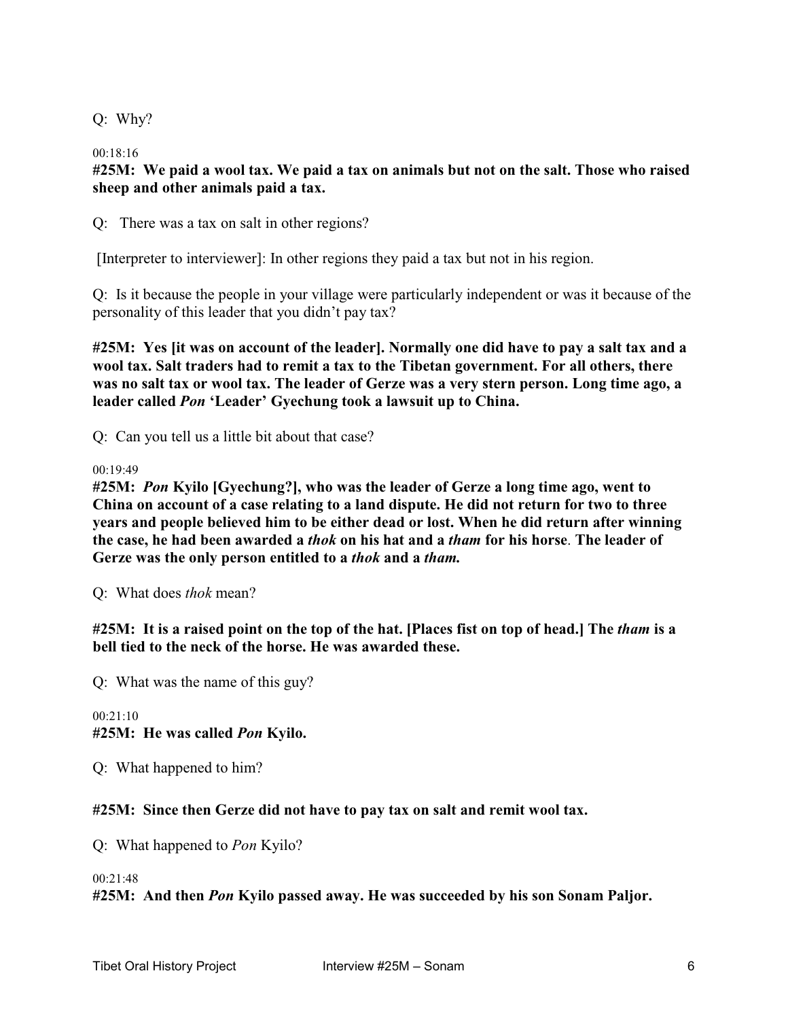### Q: Why?

#### 00:18:16

# **#25M: We paid a wool tax. We paid a tax on animals but not on the salt. Those who raised sheep and other animals paid a tax.**

Q: There was a tax on salt in other regions?

[Interpreter to interviewer]: In other regions they paid a tax but not in his region.

Q: Is it because the people in your village were particularly independent or was it because of the personality of this leader that you didn't pay tax?

**#25M: Yes [it was on account of the leader]. Normally one did have to pay a salt tax and a wool tax. Salt traders had to remit a tax to the Tibetan government. For all others, there was no salt tax or wool tax. The leader of Gerze was a very stern person. Long time ago, a leader called** *Pon* **'Leader' Gyechung took a lawsuit up to China.** 

Q: Can you tell us a little bit about that case?

#### 00:19:49

**#25M:** *Pon* **Kyilo [Gyechung?], who was the leader of Gerze a long time ago, went to China on account of a case relating to a land dispute. He did not return for two to three years and people believed him to be either dead or lost. When he did return after winning the case, he had been awarded a** *thok* **on his hat and a** *tham* **for his horse**. **The leader of Gerze was the only person entitled to a** *thok* **and a** *tham.*

Q: What does *thok* mean?

**#25M: It is a raised point on the top of the hat. [Places fist on top of head.] The** *tham* **is a bell tied to the neck of the horse. He was awarded these.** 

Q: What was the name of this guy?

### 00:21:10 **#25M: He was called** *Pon* **Kyilo.**

Q: What happened to him?

# **#25M: Since then Gerze did not have to pay tax on salt and remit wool tax.**

Q: What happened to *Pon* Kyilo?

### $00.21.48$

**#25M: And then** *Pon* **Kyilo passed away. He was succeeded by his son Sonam Paljor.**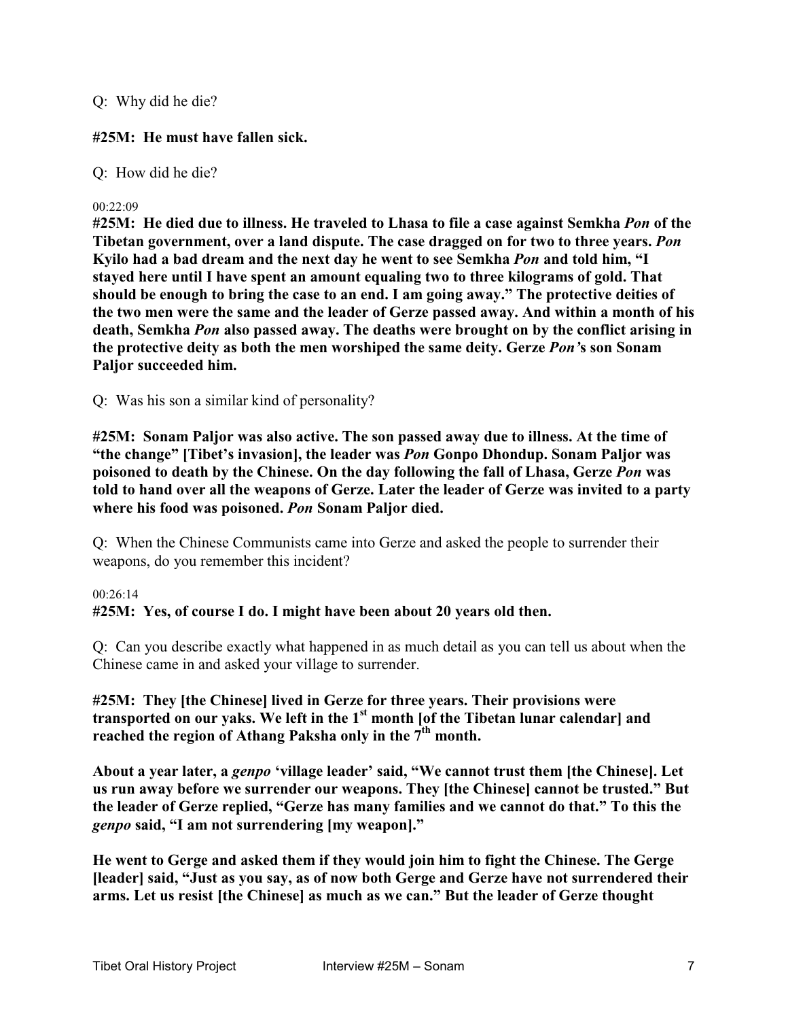### Q: Why did he die?

### **#25M: He must have fallen sick.**

Q: How did he die?

#### $00.22.09$

**#25M: He died due to illness. He traveled to Lhasa to file a case against Semkha** *Pon* **of the Tibetan government, over a land dispute. The case dragged on for two to three years.** *Pon* **Kyilo had a bad dream and the next day he went to see Semkha** *Pon* **and told him, "I stayed here until I have spent an amount equaling two to three kilograms of gold. That should be enough to bring the case to an end. I am going away." The protective deities of the two men were the same and the leader of Gerze passed away. And within a month of his death, Semkha** *Pon* **also passed away. The deaths were brought on by the conflict arising in the protective deity as both the men worshiped the same deity. Gerze** *Pon'***s son Sonam Paljor succeeded him.**

Q: Was his son a similar kind of personality?

**#25M: Sonam Paljor was also active. The son passed away due to illness. At the time of "the change" [Tibet's invasion], the leader was** *Pon* **Gonpo Dhondup. Sonam Paljor was poisoned to death by the Chinese. On the day following the fall of Lhasa, Gerze** *Pon* **was told to hand over all the weapons of Gerze. Later the leader of Gerze was invited to a party where his food was poisoned.** *Pon* **Sonam Paljor died.**

Q: When the Chinese Communists came into Gerze and asked the people to surrender their weapons, do you remember this incident?

#### 00:26:14

#### **#25M: Yes, of course I do. I might have been about 20 years old then.**

Q: Can you describe exactly what happened in as much detail as you can tell us about when the Chinese came in and asked your village to surrender.

**#25M: They [the Chinese] lived in Gerze for three years. Their provisions were transported on our yaks. We left in the 1st month [of the Tibetan lunar calendar] and reached the region of Athang Paksha only in the 7th month.** 

**About a year later, a** *genpo* **'village leader' said, "We cannot trust them [the Chinese]. Let us run away before we surrender our weapons. They [the Chinese] cannot be trusted." But the leader of Gerze replied, "Gerze has many families and we cannot do that." To this the**  *genpo* **said, "I am not surrendering [my weapon]."**

**He went to Gerge and asked them if they would join him to fight the Chinese. The Gerge [leader] said, "Just as you say, as of now both Gerge and Gerze have not surrendered their arms. Let us resist [the Chinese] as much as we can." But the leader of Gerze thought**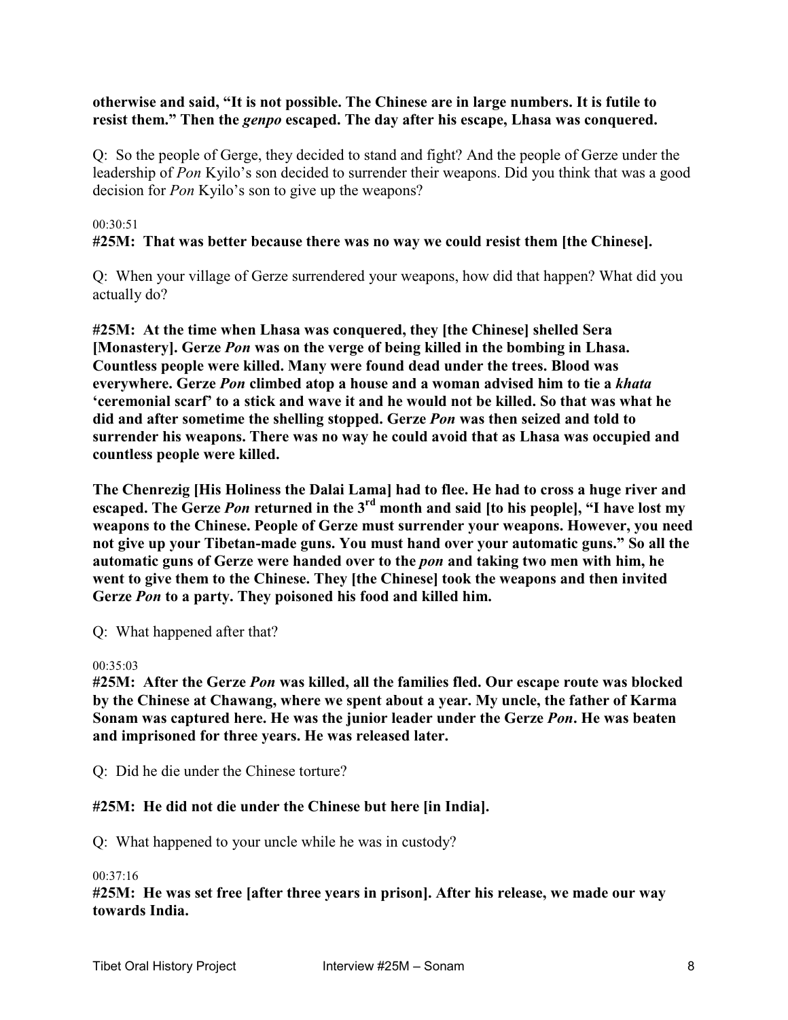### **otherwise and said, "It is not possible. The Chinese are in large numbers. It is futile to resist them." Then the** *genpo* **escaped. The day after his escape, Lhasa was conquered.**

Q: So the people of Gerge, they decided to stand and fight? And the people of Gerze under the leadership of *Pon* Kyilo's son decided to surrender their weapons. Did you think that was a good decision for *Pon* Kyilo's son to give up the weapons?

#### 00:30:51

### **#25M: That was better because there was no way we could resist them [the Chinese].**

Q: When your village of Gerze surrendered your weapons, how did that happen? What did you actually do?

**#25M: At the time when Lhasa was conquered, they [the Chinese] shelled Sera [Monastery]. Gerze** *Pon* **was on the verge of being killed in the bombing in Lhasa. Countless people were killed. Many were found dead under the trees. Blood was everywhere. Gerze** *Pon* **climbed atop a house and a woman advised him to tie a** *khata* **'ceremonial scarf' to a stick and wave it and he would not be killed. So that was what he did and after sometime the shelling stopped. Gerze** *Pon* **was then seized and told to surrender his weapons. There was no way he could avoid that as Lhasa was occupied and countless people were killed.** 

**The Chenrezig [His Holiness the Dalai Lama] had to flee. He had to cross a huge river and escaped. The Gerze** *Pon* **returned in the 3rd month and said [to his people], "I have lost my weapons to the Chinese. People of Gerze must surrender your weapons. However, you need not give up your Tibetan-made guns. You must hand over your automatic guns." So all the automatic guns of Gerze were handed over to the** *pon* **and taking two men with him, he went to give them to the Chinese. They [the Chinese] took the weapons and then invited Gerze** *Pon* **to a party. They poisoned his food and killed him.** 

Q: What happened after that?

#### 00:35:03

**#25M: After the Gerze** *Pon* **was killed, all the families fled. Our escape route was blocked by the Chinese at Chawang, where we spent about a year. My uncle, the father of Karma Sonam was captured here. He was the junior leader under the Gerze** *Pon***. He was beaten and imprisoned for three years. He was released later.** 

Q: Did he die under the Chinese torture?

### **#25M: He did not die under the Chinese but here [in India].**

Q: What happened to your uncle while he was in custody?

#### $00.37.16$

**#25M: He was set free [after three years in prison]. After his release, we made our way towards India.**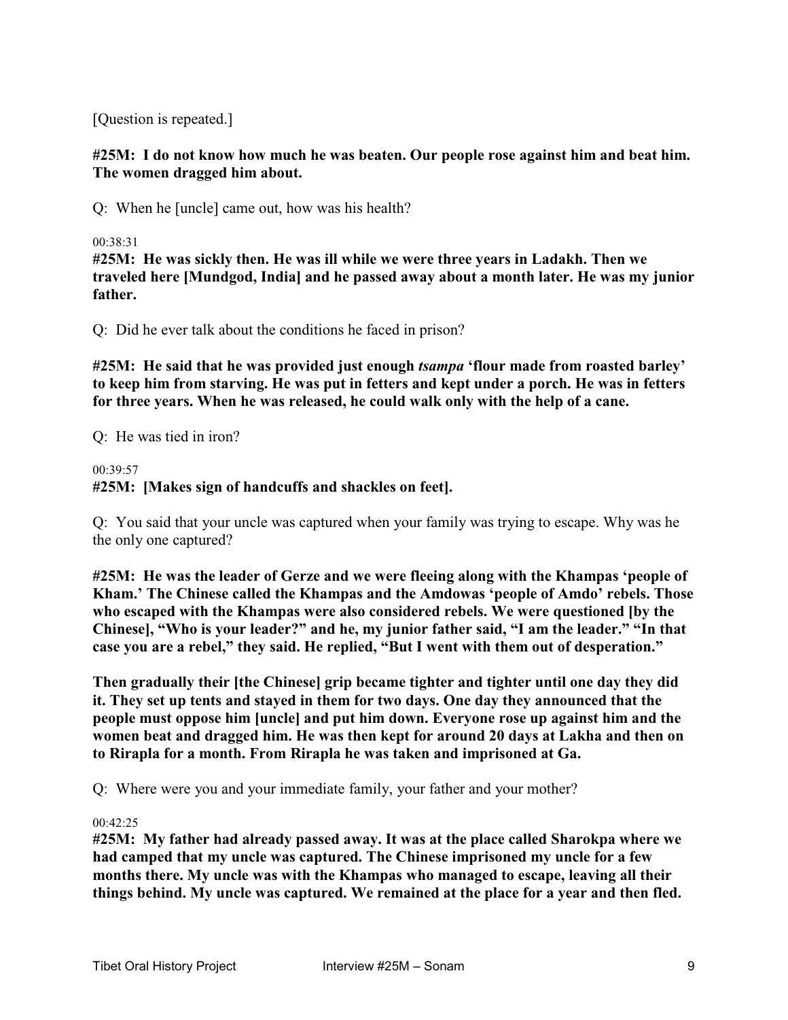[Question is repeated.]

### **#25M: I do not know how much he was beaten. Our people rose against him and beat him. The women dragged him about.**

Q: When he [uncle] came out, how was his health?

00:38:31

**#25M: He was sickly then. He was ill while we were three years in Ladakh. Then we traveled here [Mundgod, India] and he passed away about a month later. He was my junior father.** 

Q: Did he ever talk about the conditions he faced in prison?

**#25M: He said that he was provided just enough** *tsampa* **'flour made from roasted barley' to keep him from starving. He was put in fetters and kept under a porch. He was in fetters for three years. When he was released, he could walk only with the help of a cane.** 

Q: He was tied in iron?

00:39:57

**#25M: [Makes sign of handcuffs and shackles on feet].**

Q: You said that your uncle was captured when your family was trying to escape. Why was he the only one captured?

**#25M: He was the leader of Gerze and we were fleeing along with the Khampas 'people of Kham.' The Chinese called the Khampas and the Amdowas 'people of Amdo' rebels. Those who escaped with the Khampas were also considered rebels. We were questioned [by the Chinese], "Who is your leader?" and he, my junior father said, "I am the leader." "In that case you are a rebel," they said. He replied, "But I went with them out of desperation."**

**Then gradually their [the Chinese] grip became tighter and tighter until one day they did it. They set up tents and stayed in them for two days. One day they announced that the people must oppose him [uncle] and put him down. Everyone rose up against him and the women beat and dragged him. He was then kept for around 20 days at Lakha and then on to Rirapla for a month. From Rirapla he was taken and imprisoned at Ga.** 

Q: Where were you and your immediate family, your father and your mother?

00:42:25

**#25M: My father had already passed away. It was at the place called Sharokpa where we had camped that my uncle was captured. The Chinese imprisoned my uncle for a few months there. My uncle was with the Khampas who managed to escape, leaving all their things behind. My uncle was captured. We remained at the place for a year and then fled.**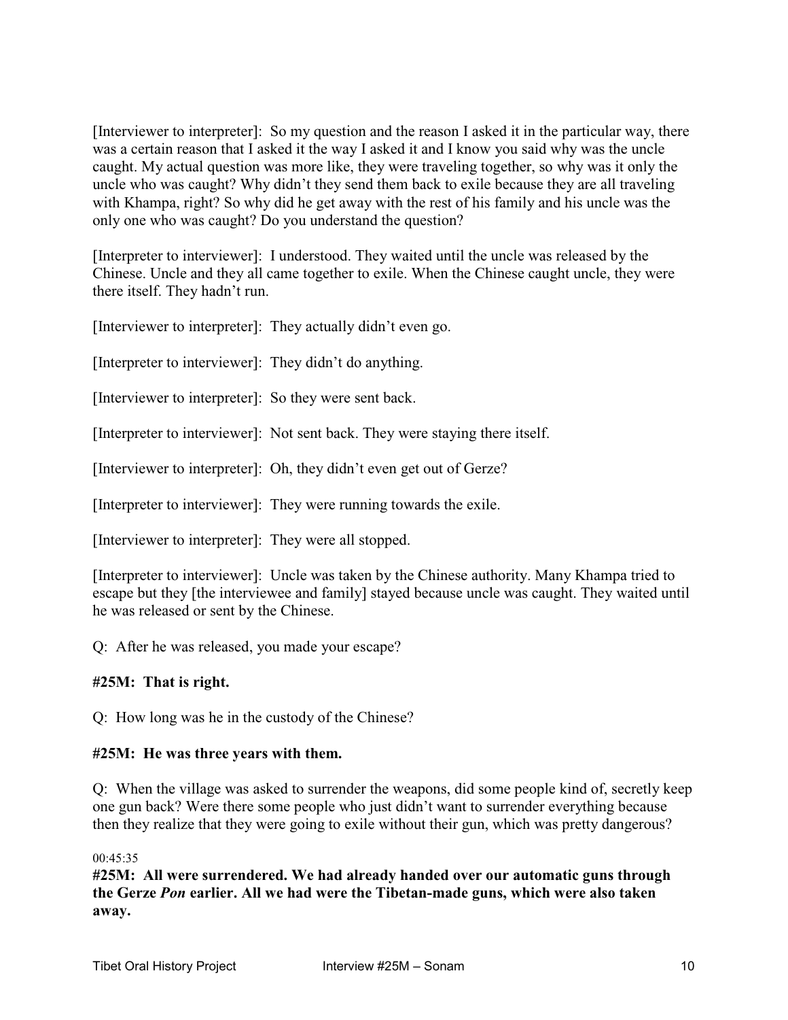[Interviewer to interpreter]: So my question and the reason I asked it in the particular way, there was a certain reason that I asked it the way I asked it and I know you said why was the uncle caught. My actual question was more like, they were traveling together, so why was it only the uncle who was caught? Why didn't they send them back to exile because they are all traveling with Khampa, right? So why did he get away with the rest of his family and his uncle was the only one who was caught? Do you understand the question?

[Interpreter to interviewer]: I understood. They waited until the uncle was released by the Chinese. Uncle and they all came together to exile. When the Chinese caught uncle, they were there itself. They hadn't run.

[Interviewer to interpreter]: They actually didn't even go.

[Interpreter to interviewer]: They didn't do anything.

[Interviewer to interpreter]: So they were sent back.

[Interpreter to interviewer]: Not sent back. They were staying there itself.

[Interviewer to interpreter]: Oh, they didn't even get out of Gerze?

[Interpreter to interviewer]: They were running towards the exile.

[Interviewer to interpreter]: They were all stopped.

[Interpreter to interviewer]: Uncle was taken by the Chinese authority. Many Khampa tried to escape but they [the interviewee and family] stayed because uncle was caught. They waited until he was released or sent by the Chinese.

Q: After he was released, you made your escape?

### **#25M: That is right.**

Q: How long was he in the custody of the Chinese?

#### **#25M: He was three years with them.**

Q: When the village was asked to surrender the weapons, did some people kind of, secretly keep one gun back? Were there some people who just didn't want to surrender everything because then they realize that they were going to exile without their gun, which was pretty dangerous?

00:45:35

**#25M: All were surrendered. We had already handed over our automatic guns through the Gerze** *Pon* **earlier. All we had were the Tibetan-made guns, which were also taken away.**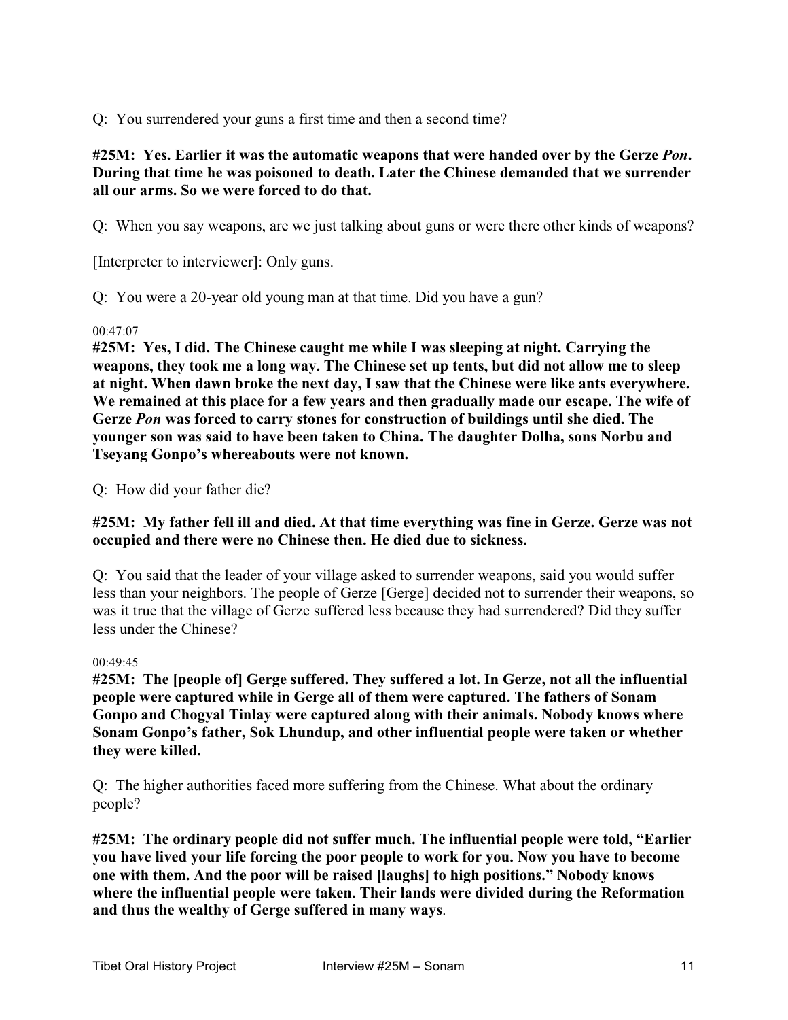Q: You surrendered your guns a first time and then a second time?

### **#25M: Yes. Earlier it was the automatic weapons that were handed over by the Gerze** *Pon***. During that time he was poisoned to death. Later the Chinese demanded that we surrender all our arms. So we were forced to do that.**

Q: When you say weapons, are we just talking about guns or were there other kinds of weapons?

[Interpreter to interviewer]: Only guns.

Q: You were a 20-year old young man at that time. Did you have a gun?

#### 00:47:07

**#25M: Yes, I did. The Chinese caught me while I was sleeping at night. Carrying the weapons, they took me a long way. The Chinese set up tents, but did not allow me to sleep at night. When dawn broke the next day, I saw that the Chinese were like ants everywhere. We remained at this place for a few years and then gradually made our escape. The wife of Gerze** *Pon* **was forced to carry stones for construction of buildings until she died. The younger son was said to have been taken to China. The daughter Dolha, sons Norbu and Tseyang Gonpo's whereabouts were not known.** 

Q: How did your father die?

### **#25M: My father fell ill and died. At that time everything was fine in Gerze. Gerze was not occupied and there were no Chinese then. He died due to sickness.**

Q: You said that the leader of your village asked to surrender weapons, said you would suffer less than your neighbors. The people of Gerze [Gerge] decided not to surrender their weapons, so was it true that the village of Gerze suffered less because they had surrendered? Did they suffer less under the Chinese?

#### 00:49:45

**#25M: The [people of] Gerge suffered. They suffered a lot. In Gerze, not all the influential people were captured while in Gerge all of them were captured. The fathers of Sonam Gonpo and Chogyal Tinlay were captured along with their animals. Nobody knows where Sonam Gonpo's father, Sok Lhundup, and other influential people were taken or whether they were killed.** 

Q: The higher authorities faced more suffering from the Chinese. What about the ordinary people?

**#25M: The ordinary people did not suffer much. The influential people were told, "Earlier you have lived your life forcing the poor people to work for you. Now you have to become one with them. And the poor will be raised [laughs] to high positions." Nobody knows where the influential people were taken. Their lands were divided during the Reformation and thus the wealthy of Gerge suffered in many ways**.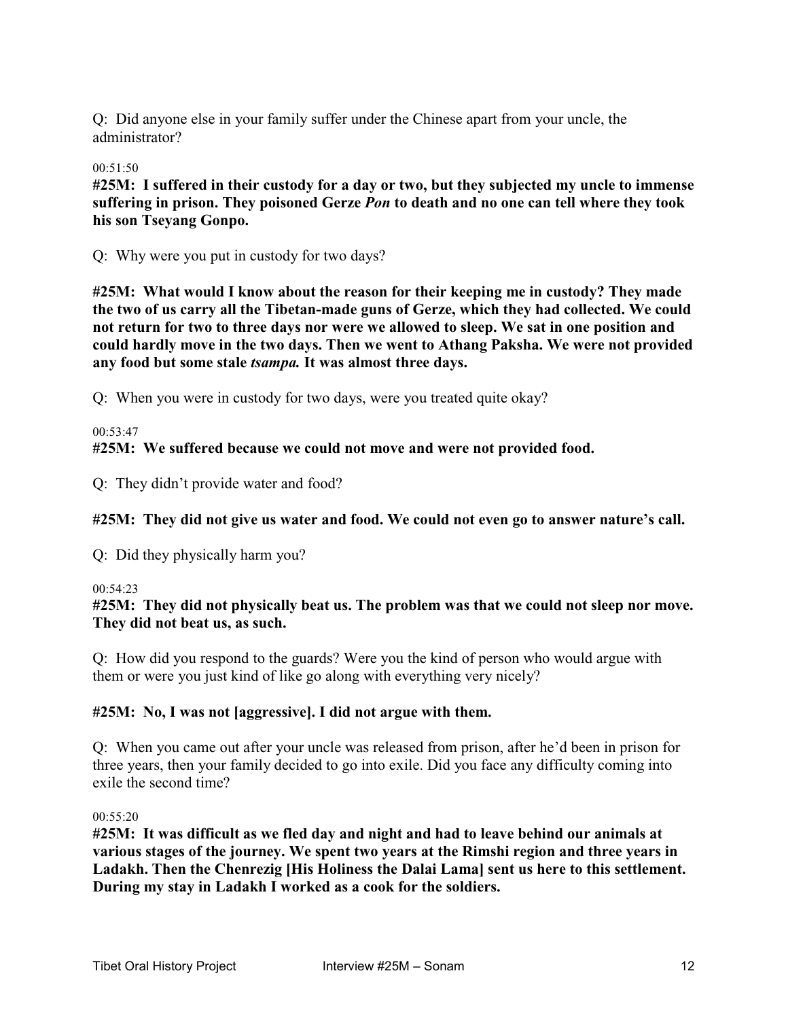Q: Did anyone else in your family suffer under the Chinese apart from your uncle, the administrator?

00:51:50

**#25M: I suffered in their custody for a day or two, but they subjected my uncle to immense suffering in prison. They poisoned Gerze** *Pon* **to death and no one can tell where they took his son Tseyang Gonpo.** 

Q: Why were you put in custody for two days?

**#25M: What would I know about the reason for their keeping me in custody? They made the two of us carry all the Tibetan-made guns of Gerze, which they had collected. We could not return for two to three days nor were we allowed to sleep. We sat in one position and could hardly move in the two days. Then we went to Athang Paksha. We were not provided any food but some stale** *tsampa.* **It was almost three days.** 

Q: When you were in custody for two days, were you treated quite okay?

#### $00.53.47$

#### **#25M: We suffered because we could not move and were not provided food.**

Q: They didn't provide water and food?

### **#25M: They did not give us water and food. We could not even go to answer nature's call.**

Q: Did they physically harm you?

#### 00:54:23

### **#25M: They did not physically beat us. The problem was that we could not sleep nor move. They did not beat us, as such.**

Q: How did you respond to the guards? Were you the kind of person who would argue with them or were you just kind of like go along with everything very nicely?

#### **#25M: No, I was not [aggressive]. I did not argue with them.**

Q: When you came out after your uncle was released from prison, after he'd been in prison for three years, then your family decided to go into exile. Did you face any difficulty coming into exile the second time?

00:55:20

**#25M: It was difficult as we fled day and night and had to leave behind our animals at various stages of the journey. We spent two years at the Rimshi region and three years in Ladakh. Then the Chenrezig [His Holiness the Dalai Lama] sent us here to this settlement. During my stay in Ladakh I worked as a cook for the soldiers.**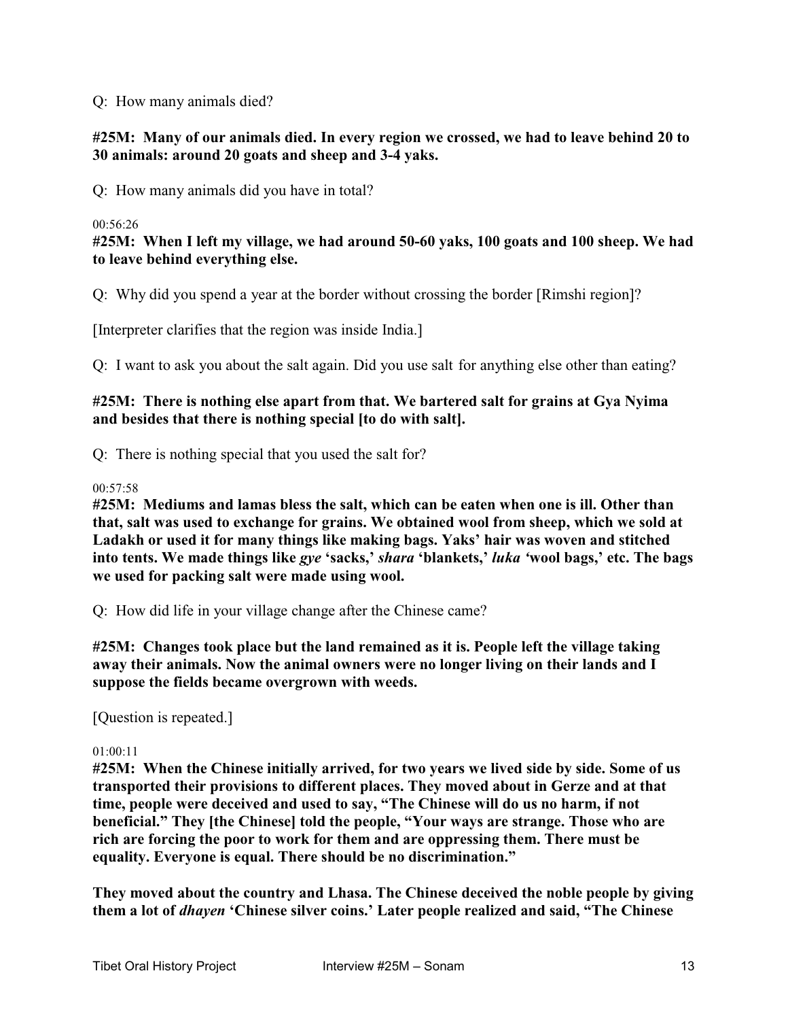### Q: How many animals died?

### **#25M: Many of our animals died. In every region we crossed, we had to leave behind 20 to 30 animals: around 20 goats and sheep and 3-4 yaks.**

Q: How many animals did you have in total?

#### 00:56:26

**#25M: When I left my village, we had around 50-60 yaks, 100 goats and 100 sheep. We had to leave behind everything else.** 

Q: Why did you spend a year at the border without crossing the border [Rimshi region]?

[Interpreter clarifies that the region was inside India.]

Q: I want to ask you about the salt again. Did you use salt for anything else other than eating?

### **#25M: There is nothing else apart from that. We bartered salt for grains at Gya Nyima and besides that there is nothing special [to do with salt].**

Q: There is nothing special that you used the salt for?

#### 00:57:58

**#25M: Mediums and lamas bless the salt, which can be eaten when one is ill. Other than that, salt was used to exchange for grains. We obtained wool from sheep, which we sold at Ladakh or used it for many things like making bags. Yaks' hair was woven and stitched into tents. We made things like** *gye* **'sacks,'** *shara* **'blankets,'** *luka '***wool bags,' etc. The bags we used for packing salt were made using wool.** 

Q: How did life in your village change after the Chinese came?

**#25M: Changes took place but the land remained as it is. People left the village taking away their animals. Now the animal owners were no longer living on their lands and I suppose the fields became overgrown with weeds.** 

[Question is repeated.]

#### 01:00:11

**#25M: When the Chinese initially arrived, for two years we lived side by side. Some of us transported their provisions to different places. They moved about in Gerze and at that time, people were deceived and used to say, "The Chinese will do us no harm, if not beneficial." They [the Chinese] told the people, "Your ways are strange. Those who are rich are forcing the poor to work for them and are oppressing them. There must be equality. Everyone is equal. There should be no discrimination."**

**They moved about the country and Lhasa. The Chinese deceived the noble people by giving them a lot of** *dhayen* **'Chinese silver coins.' Later people realized and said, "The Chinese**